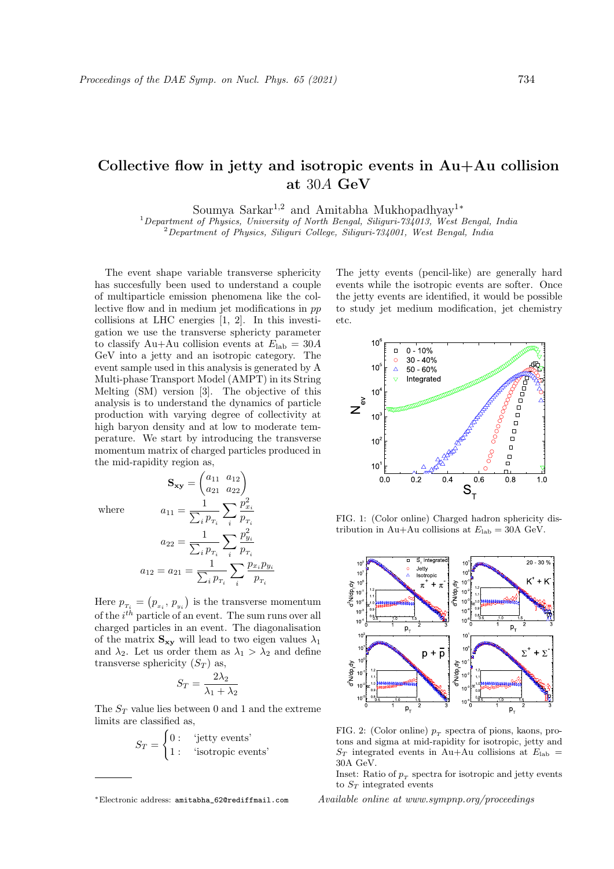## Collective flow in jetty and isotropic events in Au+Au collision at 30A GeV

Soumya Sarkar<sup>1,2</sup> and Amitabha Mukhopadhyay<sup>1</sup><sup>\*</sup>

 $1$ Department of Physics, University of North Bengal, Siliguri-734013, West Bengal, India

 $2$ Department of Physics, Siliquri College, Siliquri-734001, West Bengal, India

The event shape variable transverse sphericity has succesfully been used to understand a couple of multiparticle emission phenomena like the collective flow and in medium jet modifications in pp collisions at LHC energies [1, 2]. In this investigation we use the transverse sphericty parameter to classify Au+Au collision events at  $E_{\rm lab} = 30A$ GeV into a jetty and an isotropic category. The event sample used in this analysis is generated by A Multi-phase Transport Model (AMPT) in its String Melting (SM) version [3]. The objective of this analysis is to understand the dynamics of particle production with varying degree of collectivity at high baryon density and at low to moderate temperature. We start by introducing the transverse momentum matrix of charged particles produced in the mid-rapidity region as,

where

$$
\mathbf{S}_{\mathbf{xy}} = \begin{pmatrix} a_{11} & a_{12} \\ a_{21} & a_{22} \end{pmatrix}
$$

$$
a_{11} = \frac{1}{\sum_{i} p_{T_i}} \sum_{i} \frac{p_{x_i}^2}{p_{T_i}}
$$

$$
a_{22} = \frac{1}{\sum_{i} p_{T_i}} \sum_{i} \frac{p_{y_i}^2}{p_{T_i}}
$$

$$
a_{12} = a_{21} = \frac{1}{\sum_{i} p_{T_i}} \sum_{i} \frac{p_{x_i} p_{y_i}}{p_{T_i}}
$$

Here  $p_{\tau_i} = (p_{\scriptscriptstyle x_i}, \, p_{\scriptscriptstyle y_i})$  is the transverse momentum of the  $i^{th}$  particle of an event. The sum runs over all charged particles in an event. The diagonalisation of the matrix  $S_{xy}$  will lead to two eigen values  $\lambda_1$ and  $\lambda_2$ . Let us order them as  $\lambda_1 > \lambda_2$  and define transverse sphericity  $(S_T)$  as,

$$
S_T = \frac{2\lambda_2}{\lambda_1+\lambda_2}
$$

The  $S_T$  value lies between 0 and 1 and the extreme limits are classified as,

$$
S_T = \begin{cases} 0: & \text{`jetty events'}\\ 1: & \text{`isotropic events'} \end{cases}
$$

The jetty events (pencil-like) are generally hard events while the isotropic events are softer. Once the jetty events are identified, it would be possible to study jet medium modification, jet chemistry etc.



FIG. 1: (Color online) Charged hadron sphericity distribution in Au+Au collisions at  $E_{\text{lab}} = 30 \text{A} \text{ GeV}$ .



FIG. 2: (Color online)  $p_T$  spectra of pions, kaons, protons and sigma at mid-rapidity for isotropic, jetty and  $S_T$  integrated events in Au+Au collisions at  $E_{\text{lab}} =$ 30A GeV.

Inset: Ratio of  $p_T$  spectra for isotropic and jetty events to  $S_T$  integrated events

Available online at www.sympnp.org/proceedings

<sup>∗</sup>Electronic address: amitabha\_62@rediffmail.com